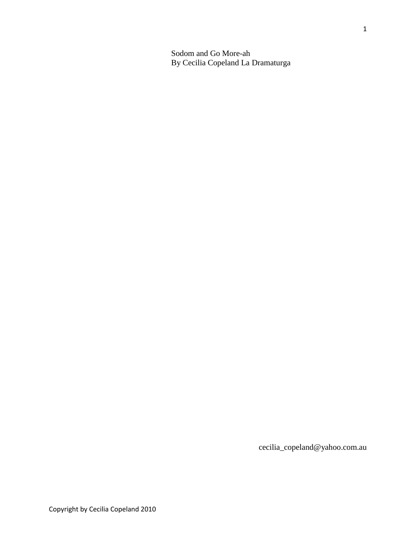Sodom and Go More-ah By Cecilia Copeland La Dramaturga

cecilia\_copeland@yahoo.com.au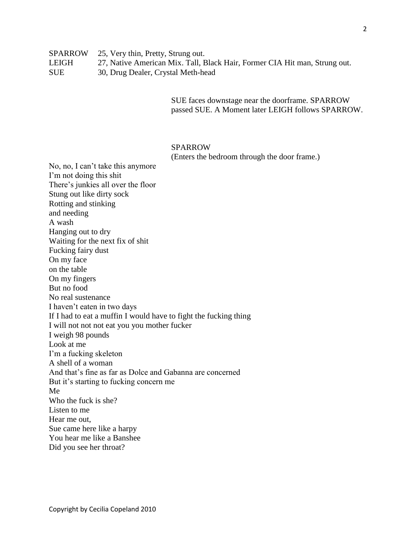SUE faces downstage near the doorframe. SPARROW passed SUE. A Moment later LEIGH follows SPARROW.

# SPARROW

(Enters the bedroom through the door frame.)

No, no, I can't take this anymore I'm not doing this shit There's junkies all over the floor Stung out like dirty sock Rotting and stinking and needing A wash Hanging out to dry Waiting for the next fix of shit Fucking fairy dust On my face on the table On my fingers But no food No real sustenance I haven't eaten in two days If I had to eat a muffin I would have to fight the fucking thing I will not not not eat you you mother fucker I weigh 98 pounds Look at me I'm a fucking skeleton A shell of a woman And that's fine as far as Dolce and Gabanna are concerned But it's starting to fucking concern me Me Who the fuck is she? Listen to me Hear me out, Sue came here like a harpy You hear me like a Banshee Did you see her throat?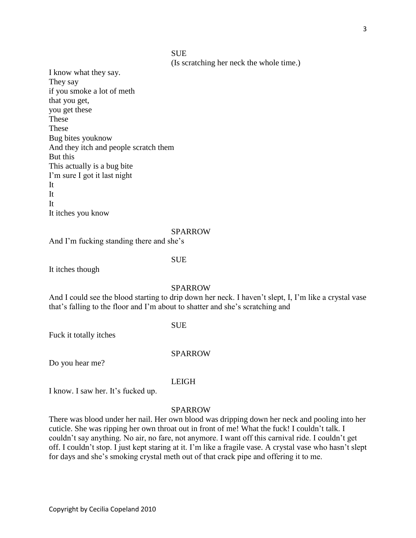# SUE

(Is scratching her neck the whole time.)

I know what they say. They say if you smoke a lot of meth that you get, you get these These These Bug bites youknow And they itch and people scratch them But this This actually is a bug bite I'm sure I got it last night It It It It itches you know

#### SPARROW

And I'm fucking standing there and she's

# SUE

It itches though

#### SPARROW

And I could see the blood starting to drip down her neck. I haven't slept, I, I'm like a crystal vase that's falling to the floor and I'm about to shatter and she's scratching and

# SUE

Fuck it totally itches

#### SPARROW

Do you hear me?

LEIGH

I know. I saw her. It's fucked up.

## SPARROW

There was blood under her nail. Her own blood was dripping down her neck and pooling into her cuticle. She was ripping her own throat out in front of me! What the fuck! I couldn't talk. I couldn't say anything. No air, no fare, not anymore. I want off this carnival ride. I couldn't get off. I couldn't stop. I just kept staring at it. I'm like a fragile vase. A crystal vase who hasn't slept for days and she's smoking crystal meth out of that crack pipe and offering it to me.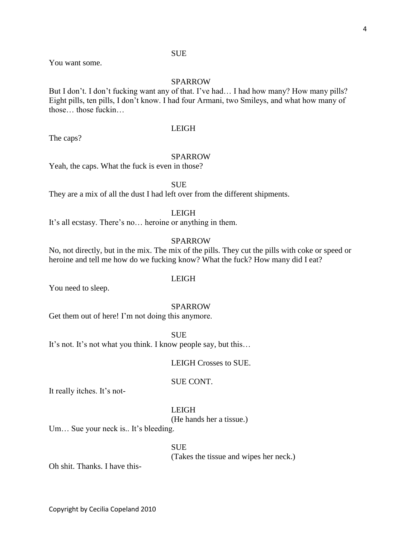# SUE

You want some.

# SPARROW

But I don't. I don't fucking want any of that. I've had… I had how many? How many pills? Eight pills, ten pills, I don't know. I had four Armani, two Smileys, and what how many of those those fuckin

LEIGH

The caps?

#### SPARROW

Yeah, the caps. What the fuck is even in those?

**SUE** 

They are a mix of all the dust I had left over from the different shipments.

# LEIGH

It's all ecstasy. There's no… heroine or anything in them.

# SPARROW

No, not directly, but in the mix. The mix of the pills. They cut the pills with coke or speed or heroine and tell me how do we fucking know? What the fuck? How many did I eat?

# LEIGH

You need to sleep.

#### SPARROW

Get them out of here! I'm not doing this anymore.

SUE

It's not. It's not what you think. I know people say, but this…

LEIGH Crosses to SUE.

#### SUE CONT.

It really itches. It's not-

LEIGH

(He hands her a tissue.)

Um... Sue your neck is.. It's bleeding.

**SUE** (Takes the tissue and wipes her neck.)

Oh shit. Thanks. I have this-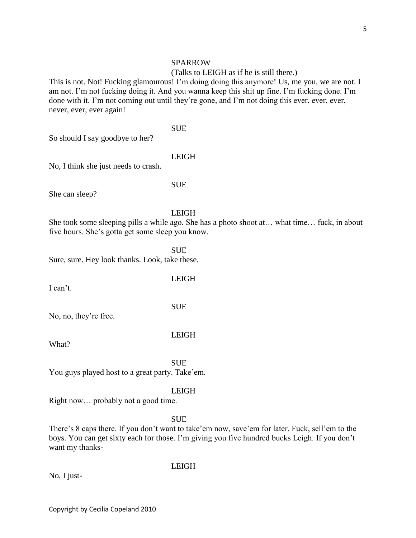#### SPARROW

## (Talks to LEIGH as if he is still there.)

This is not. Not! Fucking glamourous! I'm doing doing this anymore! Us, me you, we are not. I am not. I'm not fucking doing it. And you wanna keep this shit up fine. I'm fucking done. I'm done with it. I'm not coming out until they're gone, and I'm not doing this ever, ever, ever, never, ever, ever again!

SUE

So should I say goodbye to her?

# LEIGH

No, I think she just needs to crash.

#### SUE

She can sleep?

# LEIGH

She took some sleeping pills a while ago. She has a photo shoot at… what time… fuck, in about five hours. She's gotta get some sleep you know.

**SUE** 

Sure, sure. Hey look thanks. Look, take these.

I can't.

LEIGH

No, no, they're free.

#### LEIGH

What?

SUE You guys played host to a great party. Take'em.

#### LEIGH

Right now… probably not a good time.

**SUE** 

LEIGH

There's 8 caps there. If you don't want to take'em now, save'em for later. Fuck, sell'em to the boys. You can get sixty each for those. I'm giving you five hundred bucks Leigh. If you don't want my thanks-

No, I just-

Copyright by Cecilia Copeland 2010

# **SUE**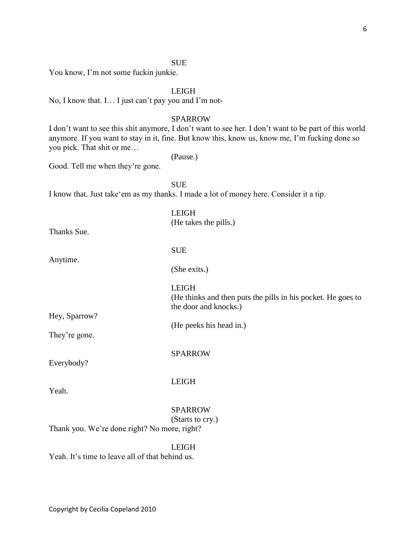# SUE

You know, I'm not some fuckin junkie.

# LEIGH

No, I know that. I… I just can't pay you and I'm not-

# SPARROW

I don't want to see this shit anymore, I don't want to see her. I don't want to be part of this world anymore. If you want to stay in it, fine. But know this, know us, know me, I'm fucking done so you pick. That shit or me…

(He takes the pills.)

(Pause.)

Good. Tell me when they're gone.

**SUE** 

I know that. Just take'em as my thanks. I made a lot of money here. Consider it a tip.

LEIGH

Anytime.

SUE

(She exits.)

LEIGH

(He thinks and then puts the pills in his pocket. He goes to the door and knocks.)

(He peeks his head in.)

They're gone.

Hey, Sparrow?

Everybody?

LEIGH

Yeah.

# SPARROW

SPARROW

# (Starts to cry.)

Thank you. We're done right? No more, right?

# LEIGH

Yeah. It's time to leave all of that behind us.